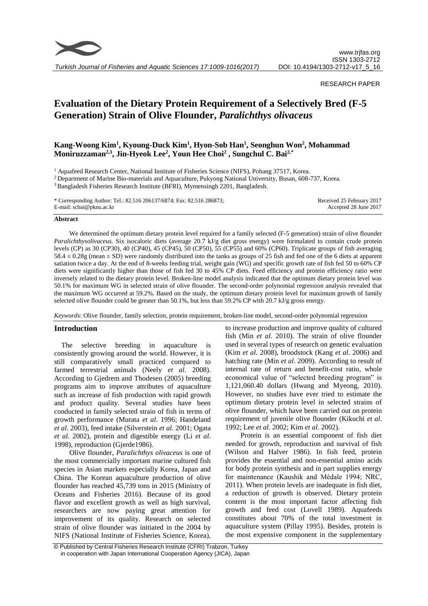

*Turkish Journal of Fisheries and Aquatic Sciences 17:1009-1016(2017)*

# RESEARCH PAPER

# **Evaluation of the Dietary Protein Requirement of a Selectively Bred (F-5 Generation) Strain of Olive Flounder,** *Paralichthys olivaceus*

# **Kang-Woong Kim<sup>1</sup> , Kyoung-Duck Kim<sup>1</sup> , Hyon-Sob Han<sup>1</sup> , Seonghun Won<sup>2</sup> , Mohammad Moniruzzaman2,3, Jin-Hyeok Lee<sup>2</sup> , Youn Hee Choi<sup>2</sup> , Sungchul C. Bai2,\***

<sup>1</sup> Aquafeed Research Center, National Institute of Fisheries Science (NIFS), Pohang 37517, Korea.

<sup>2</sup> Department of Marine Bio-materials and Aquaculture, Pukyong National University, Busan, 608-737, Korea.

<sup>3</sup>Bangladesh Fisheries Research Institute (BFRI), Mymensingh 2201, Bangladesh.

\* Corresponding Author: Tel.: 82.516 206137/6874; Fax: 82.516 286873; E-mail: scbai@pknu.ac.kr Received 25 February 2017 Accepted 28 June 2017

## **Abstract**

We determined the optimum dietary protein level required for a family selected (F-5 generation) strain of olive flounder *Paralichthysolivaceus.* Six isocaloric diets (average 20.7 kJ/g diet gross energy) were formulated to contain crude protein levels (CP) as 30 (CP30), 40 (CP40), 45 (CP45), 50 (CP50), 55 (CP55) and 60% (CP60). Triplicate groups of fish averaging 58.4  $\pm$  0.28g (mean  $\pm$  SD) were randomly distributed into the tanks as groups of 25 fish and fed one of the 6 diets at apparent satiation twice a day. At the end of 8-weeks feeding trial, weight gain (WG) and specific growth rate of fish fed 50 to 60% CP diets were significantly higher than those of fish fed 30 to 45% CP diets. Feed efficiency and protein efficiency ratio were inversely related to the dietary protein level. Broken-line model analysis indicated that the optimum dietary protein level was 50.1% for maximum WG in selected strain of olive flounder. The second-order polynomial regression analysis revealed that the maximum WG occurred at 59.2%. Based on the study, the optimum dietary protein level for maximum growth of family selected olive flounder could be greater than 50.1%, but less than 59.2% CP with 20.7 kJ/g gross energy.

*Keywords*: Olive flounder, family selection, protein requirement, broken-line model, second-order polynomial regression

# **Introduction**

The selective breeding in aquaculture is consistently growing around the world. However, it is still comparatively small practiced compared to farmed terrestrial animals (Neely *et al*. 2008). According to Gjedrem and Thodesen (2005) breeding programs aim to improve attributes of aquaculture such as increase of fish production with rapid growth and product quality. Several studies have been conducted in family selected strain of fish in terms of growth performance (Murata *et al*. 1996; Handeland *et al*. 2003), feed intake (Silverstein *et al*. 2001; Ogata *et al*. 2002), protein and digestible energy (Li *et al*. 1998), reproduction (Gjerde1986).

Olive flounder, *Paralichthys olivaceus* is one of the most commercially important marine cultured fish species in Asian markets especially Korea, Japan and China. The Korean aquaculture production of olive flounder has reached 45,739 tons in 2015 (Ministry of Oceans and Fisheries 2016). Because of its good flavor and excellent growth as well as high survival, researchers are now paying great attention for improvement of its quality. Research on selected strain of olive flounder was initiated in the 2004 by NIFS (National Institute of Fisheries Science, Korea),

to increase production and improve quality of cultured fish (Min *et al*. 2010). The strain of olive flounder used in several types of research on genetic evaluation (Kim *et al*. 2008), broodstock (Kang *et al*. 2006) and hatching rate (Min *et al*. 2009). According to result of internal rate of return and benefit-cost ratio, whole economical value of "selected breeding program" is 1,121,060.40 dollars (Hwang and Myeong, 2010). However, no studies have ever tried to estimate the optimum dietary protein level in selected strains of olive flounder, which have been carried out on protein requirement of juvenile olive flounder (Kikuchi *et al*. 1992; Lee *et al*. 2002; Kim *et al*. 2002).

Protein is an essential component of fish diet needed for growth, reproduction and survival of fish (Wilson and Halver 1986). In fish feed, protein provides the essential and non-essential amino acids for body protein synthesis and in part supplies energy for maintenance (Kaushik and Médale 1994; NRC, 2011). When protein levels are inadequate in fish diet, a reduction of growth is observed. Dietary protein content is the most important factor affecting fish growth and feed cost (Lovell 1989). Aquafeeds constitutes about 70% of the total investment in aquaculture system (Pillay 1995). Besides, protein is the most expensive component in the supplementary

<sup>©</sup> Published by Central Fisheries Research Institute (CFRI) Trabzon, Turkey in cooperation with Japan International Cooperation Agency (JICA), Japan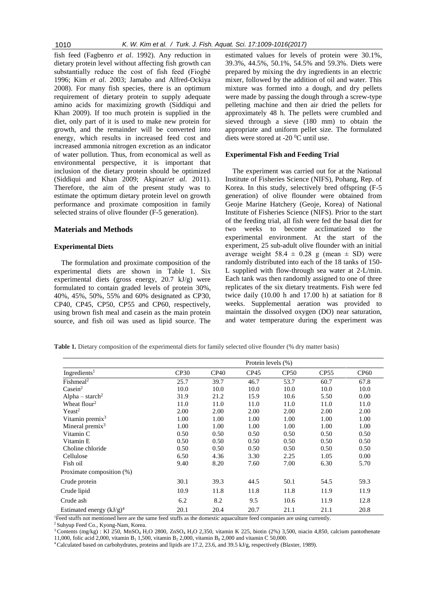fish feed (Fagbenro *et al*. 1992). Any reduction in dietary protein level without affecting fish growth can substantially reduce the cost of fish feed (Fiogbé 1996; Kim *et al*. 2003; Jamabo and Alfred-Ockiya 2008). For many fish species, there is an optimum requirement of dietary protein to supply adequate amino acids for maximizing growth (Siddiqui and Khan 2009). If too much protein is supplied in the diet, only part of it is used to make new protein for growth, and the remainder will be converted into energy, which results in increased feed cost and increased ammonia nitrogen excretion as an indicator of water pollution. Thus, from economical as well as environmental perspective, it is important that inclusion of the dietary protein should be optimized (Siddiqui and Khan 2009; Akpinar/*et al*. 2011). Therefore, the aim of the present study was to estimate the optimum dietary protein level on growth performance and proximate composition in family selected strains of olive flounder (F-5 generation).

#### **Materials and Methods**

#### **Experimental Diets**

The formulation and proximate composition of the experimental diets are shown in [Table 1.](http://onlinelibrary.wiley.com/doi/10.1111/j.1365-2109.2011.02814.x/full#t1) Six experimental diets (gross energy, 20.7 kJ/g) were formulated to contain graded levels of protein 30%, 40%, 45%, 50%, 55% and 60% designated as CP30, CP40, CP45, CP50, CP55 and CP60, respectively, using brown fish meal and casein as the main protein source, and fish oil was used as lipid source. The estimated values for levels of protein were 30.1%, 39.3%, 44.5%, 50.1%, 54.5% and 59.3%. Diets were prepared by mixing the dry ingredients in an electric mixer, followed by the addition of oil and water. This mixture was formed into a dough, and dry pellets were made by passing the dough through a screw-type pelleting machine and then air dried the pellets for approximately 48 h. The pellets were crumbled and sieved through a sieve (180 mm) to obtain the appropriate and uniform pellet size. The formulated diets were stored at -20  $\rm{^0C}$  until use.

# **Experimental Fish and Feeding Trial**

The experiment was carried out for at the National Institute of Fisheries Science (NIFS), Pohang, Rep. of Korea. In this study, selectively bred offspring (F-5 generation) of olive flounder were obtained from Geoje Marine Hatchery (Geoje, Korea) of National Institute of Fisheries Science (NIFS). Prior to the start of the feeding trial, all fish were fed the basal diet for two weeks to become acclimatized to the experimental environment. At the start of the experiment, 25 sub-adult olive flounder with an initial average weight  $58.4 \pm 0.28$  g (mean  $\pm$  SD) were randomly distributed into each of the 18 tanks of 150- L supplied with flow-through sea water at 2-L/min. Each tank was then randomly assigned to one of three replicates of the six dietary treatments. Fish were fed twice daily (10.00 h and 17.00 h) at satiation for 8 weeks. Supplemental aeration was provided to maintain the dissolved oxygen (DO) near saturation, and water temperature during the experiment was

**Table 1.** Dietary composition of the experimental diets for family selected olive flounder (% dry matter basis)

|                             | Protein levels (%) |      |      |      |                  |             |  |  |
|-----------------------------|--------------------|------|------|------|------------------|-------------|--|--|
| Ingredients <sup>1</sup>    | CP30               | CP40 | CP45 | CP50 | CP <sub>55</sub> | <b>CP60</b> |  |  |
| Fishmeal <sup>2</sup>       | 25.7               | 39.7 | 46.7 | 53.7 | 60.7             | 67.8        |  |  |
| $\text{Case}in^2$           | 10.0               | 10.0 | 10.0 | 10.0 | 10.0             | 10.0        |  |  |
| Alpha – starch <sup>2</sup> | 31.9               | 21.2 | 15.9 | 10.6 | 5.50             | 0.00        |  |  |
| Wheat flour <sup>2</sup>    | 11.0               | 11.0 | 11.0 | 11.0 | 11.0             | 11.0        |  |  |
| Yeast <sup>2</sup>          | 2.00               | 2.00 | 2.00 | 2.00 | 2.00             | 2.00        |  |  |
| Vitamin premix <sup>3</sup> | 1.00               | 1.00 | 1.00 | 1.00 | 1.00             | 1.00        |  |  |
| Mineral premix <sup>3</sup> | 1.00               | 1.00 | 1.00 | 1.00 | 1.00             | 1.00        |  |  |
| Vitamin C                   | 0.50               | 0.50 | 0.50 | 0.50 | 0.50             | 0.50        |  |  |
| Vitamin E                   | 0.50               | 0.50 | 0.50 | 0.50 | 0.50             | 0.50        |  |  |
| Choline chloride            | 0.50               | 0.50 | 0.50 | 0.50 | 0.50             | 0.50        |  |  |
| Cellulose                   | 6.50               | 4.36 | 3.30 | 2.25 | 1.05             | 0.00        |  |  |
| Fish oil                    | 9.40               | 8.20 | 7.60 | 7.00 | 6.30             | 5.70        |  |  |
| Proximate composition (%)   |                    |      |      |      |                  |             |  |  |
| Crude protein               | 30.1               | 39.3 | 44.5 | 50.1 | 54.5             | 59.3        |  |  |
| Crude lipid                 | 10.9               | 11.8 | 11.8 | 11.8 | 11.9             | 11.9        |  |  |
| Crude ash                   | 6.2                | 8.2  | 9.5  | 10.6 | 11.9             | 12.8        |  |  |
| Estimated energy $(kJ/g)^4$ | 20.1               | 20.4 | 20.7 | 21.1 | 21.1             | 20.8        |  |  |

<sup>1</sup>Feed stuffs not mentioned here are the same feed stuffs as the domestic aquaculture feed companies are using currently.

<sup>2</sup> Suhyup Feed Co., Kyong-Nam, Korea.

<sup>3</sup> Contents (mg/kg) : KI 250, MnSO<sub>4</sub> H<sub>2</sub>O 2800, ZnSO<sub>4</sub> H<sub>2</sub>O 2,350, vitamin K 225, biotin (2%) 3,500, niacin 4,850, calcium pantothenate 11,000, folic acid 2,000, vitamin B<sub>1</sub> 1,500, vitamin B<sub>2</sub> 2,000, vitamin B<sub>6</sub> 2,000 and vitamin C 50,000.

4 Calculated based on carbohydrates, proteins and lipids are 17.2, 23.6, and 39.5 kJ/g, respectively (Blaxter, 1989).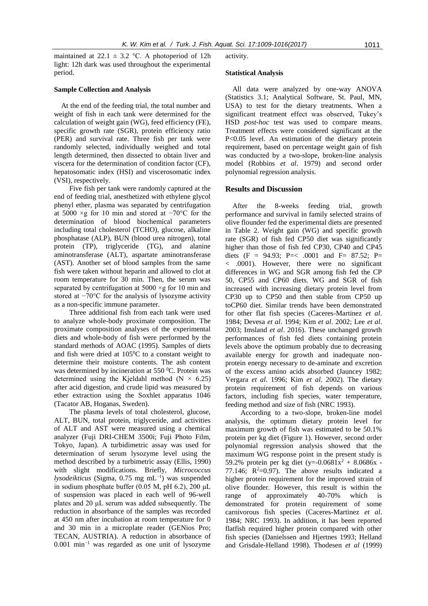maintained at 22.1  $\pm$  3.2 °C. A photoperiod of 12h light: 12h dark was used throughout the experimental period.

# **Sample Collection and Analysis**

At the end of the feeding trial, the total number and weight of fish in each tank were determined for the calculation of weight gain (WG), feed efficiency (FE), specific growth rate (SGR), protein efficiency ratio (PER) and survival rate. Three fish per tank were randomly selected, individually weighed and total length determined, then dissected to obtain liver and viscera for the determination of condition factor (CF), hepatosomatic index (HSI) and viscerosomatic index (VSI), respectively.

Five fish per tank were randomly captured at the end of feeding trial, anesthetized with ethylene glycol phenyl ether, plasma was separated by centrifugation at 5000 ×g for 10 min and stored at −70°C for the determination of blood biochemical parameters including total cholesterol (TCHO), glucose, alkaline phosphatase (ALP), BUN (blood urea nitrogen), total protein (TP), triglyceride (TG), and alanine aminotransferase (ALT), aspartate aminotransferase (AST). Another set of blood samples from the same fish were taken without heparin and allowed to clot at room temperature for 30 min. Then, the serum was separated by centrifugation at 5000  $\times$ g for 10 min and stored at −70°C for the analysis of lysozyme activity as a non-specific immune parameter.

Three additional fish from each tank were used to analyze whole-body proximate composition. The proximate composition analyses of the experimental diets and whole-body of fish were performed by the standard methods of AOAC (1995). Samples of diets and fish were dried at  $105\degree C$  to a constant weight to determine their moisture contents. The ash content was determined by incineration at 550 °C. Protein was determined using the Kjeldahl method (N  $\times$  6.25) after acid digestion, and crude lipid was measured by ether extraction using the Soxhlet apparatus 1046 (Tacator AB, Hoganas, Sweden).

The plasma levels of total cholesterol, glucose, ALT, BUN, total protein, triglyceride, and activities of ALT and AST were measured using a chemical analyzer (Fuji DRI-CHEM 3500i; Fuji Photo Film, Tokyo, Japan). A turbidimetric assay was used for determination of serum lysozyme level using the method described by a turbimetric assay [\(Ellis, 1990\)](http://www.sciencedirect.com/science/article/pii/S0044848605001973#bib19) with slight modifications. Briefly, *Micrococcus lysodeikticus* (Sigma, 0.75 mg mL−1 ) was suspended in sodium phosphate buffer (0.05 M, pH 6.2), 200 μL of suspension was placed in each well of 96-well plates and 20 μL serum was added subsequently. The reduction in absorbance of the samples was recorded at 450 nm after incubation at room temperature for 0 and 30 min in a microplate reader (GENios Pro; TECAN, AUSTRIA). A reduction in absorbance of 0.001 min−1 was regarded as one unit of lysozyme

activity.

### **Statistical Analysis**

All data were analyzed by one-way ANOVA (Statistics 3.1; Analytical Software, St. Paul, MN, USA) to test for the dietary treatments. When a significant treatment effect was observed, Tukey's HSD *post-hoc* test was used to compare means. Treatment effects were considered significant at the P<0.05 level. An estimation of the dietary protein requirement, based on percentage weight gain of fish was conducted by a two-slope, broken-line analysis model [\(Robbins](http://onlinelibrary.wiley.com/doi/10.1046/j.1365-2095.2001.00160.x/full#b17) *et al*. 1979) and second order polynomial regression analysis.

# **Results and Discussion**

After the 8-weeks feeding trial, growth performance and survival in family selected strains of olive flounder fed the experimental diets are presented in Table 2. Weight gain (WG) and specific growth rate (SGR) of fish fed CP50 diet was significantly higher than those of fish fed CP30, CP40 and CP45 diets (F = 94.93; P=< .0001 and F= 87.52; P= < .0001). However, there were no significant differences in WG and SGR among fish fed the CP 50, CP55 and CP60 diets. WG and SGR of fish increased with increasing dietary protein level from CP30 up to CP50 and then stable from CP50 up toCP60 diet. Similar trends have been demonstrated for other flat fish species (Caceres-Martinez *et al*. 1984; Devesa *et al*. 1994; Kim *et al*. 2002; Lee *et al*. 2003; Imsland *et al*. 2016). These unchanged growth performances of fish fed diets containing protein levels above the optimum probably due to decreasing available energy for growth and inadequate nonprotein energy necessary to de-aminate and excretion of the excess amino acids absorbed (Jauncey 1982; Vergara *et al*. 1996; Kim *et al*. 2002). The dietary protein requirement of fish depends on various factors, including fish species, water temperature, feeding method and size of fish (NRC 1993).

According to a two-slope, broken-line model analysis, the optimum dietary protein level for maximum growth of fish was estimated to be 50.1% protein per kg diet (Figure 1). However, second order polynomial regression analysis showed that the maximum WG response point in the present study is 59.2% protein per kg diet (y=-0.0681x<sup>2</sup> + 8.0686x -77.146;  $R^2=0.97$ ). The above results indicated a higher protein requirement for the improved strain of olive flounder. However, this result is within the range of approximately 40-70% which is demonstrated for protein requirement of some carnivorous fish species (Caceres-Martinez *et al*. 1984; NRC 1993). In addition, it has been reported flatfish required higher protein compared with other fish species (Danielssen and Hjertnes 1993; Helland and Grisdale-Helland 1998). Thodesen *et al* (1999)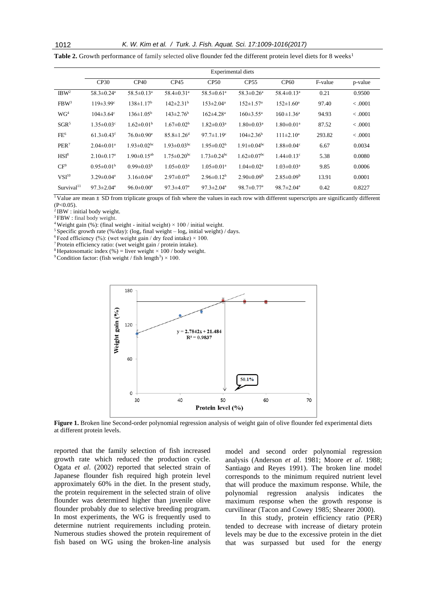**Table 2.** Growth performance of family selected olive flounder fed the different protein level diets for 8 weeks<sup>1</sup>

|                        | <b>Experimental diets</b>    |                               |                               |                               |                               |                              |         |         |  |
|------------------------|------------------------------|-------------------------------|-------------------------------|-------------------------------|-------------------------------|------------------------------|---------|---------|--|
|                        | CP30                         | CP40                          | CP45                          | CP50                          | CP <sub>55</sub>              | <b>CP60</b>                  | F-value | p-value |  |
| IBW <sup>2</sup>       | $58.3 \pm 0.24$ <sup>a</sup> | $58.5 \pm 0.13$ <sup>a</sup>  | $58.4 \pm 0.31$ <sup>a</sup>  | $58.5 \pm 0.61$ <sup>a</sup>  | $58.3 \pm 0.26$ <sup>a</sup>  | $58.4 \pm 0.13$ <sup>a</sup> | 0.21    | 0.9500  |  |
| FBW <sup>3</sup>       | $119 \pm 3.99$ <sup>c</sup>  | $138 \pm 1.17^b$              | $142 \pm 2.31$ <sup>b</sup>   | $153 \pm 2.04^{\text{a}}$     | $152 \pm 1.57$ <sup>a</sup>   | $152 \pm 1.60^{\circ}$       | 97.40   | < .0001 |  |
| WG <sup>4</sup>        | $104 \pm 3.64$ °             | $136 \pm 1.05^{\rm b}$        | $143 \pm 2.76^b$              | $162 \pm 4.28$ <sup>a</sup>   | $160 \pm 3.55^{\text{a}}$     | $160 \pm 1.36^a$             | 94.93   | < .0001 |  |
| $SGR^5$                | $1.35 \pm 0.03$ <sup>c</sup> | $1.62 \pm 0.01^{\rm b}$       | $1.67 \pm 0.02^b$             | $1.82 \pm 0.03$ <sup>a</sup>  | $1.80 \pm 0.03$ <sup>a</sup>  | $1.80 \pm 0.01^a$            | 87.52   | < .0001 |  |
| FE <sup>6</sup>        | $61.3 \pm 0.43$ <sup>f</sup> | $76.0 \pm 0.90$ <sup>e</sup>  | $85.8 \pm 1.26$ <sup>d</sup>  | $97.7 \pm 1.19$ <sup>c</sup>  | $104\pm2.36^{\rm b}$          | $111 \pm 2.10^a$             | 293.82  | < .0001 |  |
| PER <sup>7</sup>       | $2.04 \pm 0.01$ <sup>a</sup> | $1.93 \pm 0.02$ <sup>bc</sup> | $1.93 \pm 0.03$ <sup>bc</sup> | $1.95 \pm 0.02^b$             | $1.91 \pm 0.04$ <sup>bc</sup> | $1.88 \pm 0.04$ <sup>c</sup> | 6.67    | 0.0034  |  |
| HSI <sup>8</sup>       | $2.10\pm0.17^{\rm a}$        | $1.90 \pm 0.15^{ab}$          | $1.75 \pm 0.20$ <sup>bc</sup> | $1.73 \pm 0.24$ <sup>bc</sup> | $1.62 \pm 0.07$ <sup>bc</sup> | $1.44 \pm 0.13$ <sup>c</sup> | 5.38    | 0.0080  |  |
| $CF^9$                 | $0.95 \pm 0.01^{\rm b}$      | $0.99 \pm 0.03^b$             | $1.05 \pm 0.03^a$             | $1.05 \pm 0.01$ <sup>a</sup>  | $1.04 \pm 0.02$ <sup>a</sup>  | $1.03 \pm 0.03^a$            | 9.85    | 0.0006  |  |
| $VSI^{10}$             | $3.29 \pm 0.04^a$            | $3.16 \pm 0.04^a$             | $2.97 \pm 0.07^{\rm b}$       | $2.96\pm0.12^b$               | $2.90 \pm 0.09^b$             | $2.85 \pm 0.09^b$            | 13.91   | 0.0001  |  |
| Survival <sup>11</sup> | $97.3 \pm 2.04^{\mathrm{a}}$ | $96.0 \pm 0.00^a$             | $97.3 \pm 4.07$ <sup>a</sup>  | $97.3 \pm 2.04^a$             | $98.7 \pm 0.77$ <sup>a</sup>  | $98.7 \pm 2.04^a$            | 0.42    | 0.8227  |  |

<sup>1</sup>Value are mean  $\pm$  SD from triplicate groups of fish where the values in each row with different superscripts are significantly different  $(P < 0.05)$ .

<sup>2</sup>IBW : initial body weight.

<sup>3</sup> FBW : final body weight.

<sup>4</sup> Weight gain (%): (final weight - initial weight)  $\times$  100 / initial weight.

<sup>5</sup> Specific growth rate (%/day): ( $log_e$  final weight –  $log_e$  initial weight) / days.

<sup>6</sup> Feed efficiency (%): (wet weight gain / dry feed intake)  $\times$  100.

<sup>7</sup>Protein efficiency ratio: (wet weight gain / protein intake).

<sup>8</sup> Hepatosomatic index (%) = liver weight  $\times$  100 / body weight.

<sup>9</sup> Condition factor: (fish weight / fish length<sup>3</sup>)  $\times$  100.



**Figure 1.** Broken line Second-order polynomial regression analysis of weight gain of olive flounder fed experimental diets at different protein levels.

reported that the family selection of fish increased growth rate which reduced the production cycle. Ogata *et al*. (2002) reported that selected strain of Japanese flounder fish required high protein level approximately 60% in the diet. In the present study, the protein requirement in the selected strain of olive flounder was determined higher than juvenile olive flounder probably due to selective breeding program. In most experiments, the WG is frequently used to determine nutrient requirements including protein. Numerous studies showed the protein requirement of fish based on WG using the broken-line analysis

model and second order polynomial regression analysis (Anderson *et al*. 1981; Moore *et al*. 1988; [Santiago and Reyes 1991\)](http://www.sciencedirect.com/science/article/pii/S0044848604006180#bib26). The broken line model corresponds to the minimum required nutrient level that will produce the maximum response. While, the polynomial regression analysis indicates the maximum response when the growth response is curvilinear [\(Tacon and Cowey 1985;](http://www.sciencedirect.com/science/article/pii/S0044848604006180#bib27) Shearer 2000).

In this study, protein efficiency ratio (PER) tended to decrease with increase of dietary protein levels may be due to the excessive protein in the diet that was surpassed but used for the energy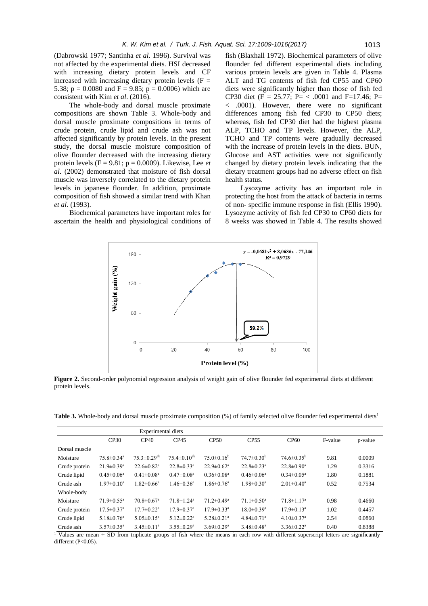(Dabrowski 1977; Santinha *et al*. 1996). Survival was not affected by the experimental diets. HSI decreased with increasing dietary protein levels and CF increased with increasing dietary protein levels  $(F =$ 5.38;  $p = 0.0080$  and  $F = 9.85$ ;  $p = 0.0006$ ) which are consistent with Kim *et al*. (2016).

The whole-body and dorsal muscle proximate compositions are shown Table 3. Whole-body and dorsal muscle proximate compositions in terms of crude protein, crude lipid and crude ash was not affected significantly by protein levels. In the present study, the dorsal muscle moisture composition of olive flounder decreased with the increasing dietary protein levels (F = 9.81; p = 0.0009). Likewise, Lee *et al*. (2002) demonstrated that moisture of fish dorsal muscle was inversely correlated to the dietary protein levels in japanese flounder. In addition, proximate composition of fish showed a similar trend with Khan *et al*. (1993).

Biochemical parameters have important roles for ascertain the health and physiological conditions of

fish (Blaxhall 1972). Biochemical parameters of olive flounder fed different experimental diets including various protein levels are given in Table 4. Plasma ALT and TG contents of fish fed CP55 and CP60 diets were significantly higher than those of fish fed CP30 diet (F = 25.77; P= < .0001 and F=17.46; P= < .0001). However, there were no significant differences among fish fed CP30 to CP50 diets; whereas, fish fed CP30 diet had the highest plasma ALP, TCHO and TP levels. However, the ALP, TCHO and TP contents were gradually decreased with the increase of protein levels in the diets. BUN, Glucose and AST activities were not significantly changed by dietary protein levels indicating that the dietary treatment groups had no adverse effect on fish health status.

Lysozyme activity has an important role in protecting the host from the attack of bacteria in terms of non- specific immune response in fish (Ellis 1990). Lysozyme activity of fish fed CP30 to CP60 diets for 8 weeks was showed in Table 4. The results showed



**Figure 2.** Second-order polynomial regression analysis of weight gain of olive flounder fed experimental diets at different protein levels.

**Table 3.** Whole-body and dorsal muscle proximate composition (%) of family selected olive flounder fed experimental diets<sup>1</sup>

|               |                              | Experimental diets            |                              |                              |                              |                              |         |         |
|---------------|------------------------------|-------------------------------|------------------------------|------------------------------|------------------------------|------------------------------|---------|---------|
|               | CP30                         | CP40                          | CP45                         | CP50                         | CP <sub>55</sub>             | CP60                         | F-value | p-value |
| Dorsal muscle |                              |                               |                              |                              |                              |                              |         |         |
| Moisture      | $75.8 \pm 0.34$ <sup>a</sup> | $75.3 \pm 0.29$ <sup>ab</sup> | $75.4 \pm 0.10^{ab}$         | $75.0\pm0.16^b$              | $74.7 \pm 0.30^{\rm b}$      | $74.6 \pm 0.35^{\rm b}$      | 9.81    | 0.0009  |
| Crude protein | $21.9 \pm 0.39$ <sup>a</sup> | $22.6 \pm 0.82$ <sup>a</sup>  | $22.8 \pm 0.33$ <sup>a</sup> | $22.9 \pm 0.62$ <sup>a</sup> | $22.8 \pm 0.23$ <sup>a</sup> | $22.8 \pm 0.90^{\circ}$      | 1.29    | 0.3316  |
| Crude lipid   | $0.45 \pm 0.06^a$            | $0.41 \pm 0.08$ <sup>a</sup>  | $0.47 \pm 0.08$ <sup>a</sup> | $0.36 \pm 0.08$ <sup>a</sup> | $0.46 \pm 0.06^a$            | $0.34 \pm 0.05^{\text{a}}$   | 1.80    | 0.1881  |
| Crude ash     | $1.97 \pm 0.10^a$            | $1.82 \pm 0.66^a$             | $1.46 \pm 0.36^a$            | $1.86 \pm 0.76$ <sup>a</sup> | $1.98 \pm 0.30^{\mathrm{a}}$ | $2.01 \pm 0.40^a$            | 0.52    | 0.7534  |
| Whole-body    |                              |                               |                              |                              |                              |                              |         |         |
| Moisture      | $71.9 \pm 0.55$ <sup>a</sup> | $70.8 \pm 0.67$ <sup>a</sup>  | $71.8 \pm 1.24$ <sup>a</sup> | $71.2 \pm 0.49$ <sup>a</sup> | $71.1 \pm 0.50$ <sup>a</sup> | $71.8 \pm 1.17$ <sup>a</sup> | 0.98    | 0.4660  |
| Crude protein | $17.5 \pm 0.37$ <sup>a</sup> | $17.7 \pm 0.22$ <sup>a</sup>  | $17.9 \pm 0.37$ <sup>a</sup> | $17.9 \pm 0.33$ <sup>a</sup> | $18.0 \pm 0.39$ <sup>a</sup> | $17.9 \pm 0.13$ <sup>a</sup> | 1.02    | 0.4457  |
| Crude lipid   | $5.18 \pm 0.76$ <sup>a</sup> | $5.05 \pm 0.15^{\mathrm{a}}$  | $5.12 \pm 0.22$ <sup>a</sup> | $5.28 \pm 0.21$ <sup>a</sup> | $4.84 \pm 0.71$ <sup>a</sup> | $4.10 \pm 0.37$ <sup>a</sup> | 2.54    | 0.0860  |
| Crude ash     | $3.57 \pm 0.35$ <sup>a</sup> | $3.45 \pm 0.11$ <sup>a</sup>  | $3.55 \pm 0.29^a$            | $3.69 \pm 0.29$ <sup>a</sup> | $3.48 \pm 0.48^a$            | $3.36 \pm 0.22$ <sup>a</sup> | 0.40    | 0.8388  |

<sup>1</sup> Values are mean  $\pm$  SD from triplicate groups of fish where the means in each row with different superscript letters are significantly different (P<0.05).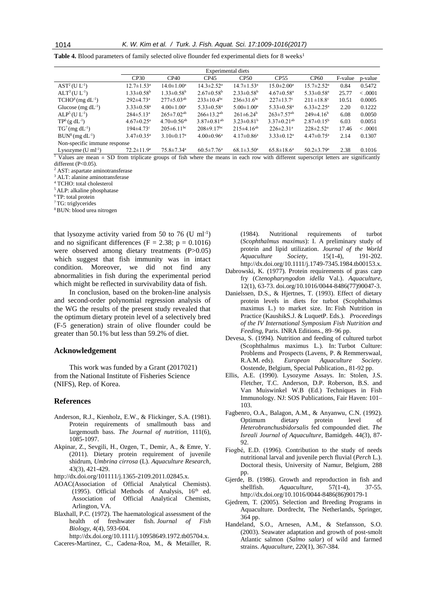**Table 4.** Blood parameters of family selected olive flounder fed experimental diets for 8 weeks<sup>1</sup>

|                                                      | Experimental diets           |                               |                               |                              |                               |                              |         |          |
|------------------------------------------------------|------------------------------|-------------------------------|-------------------------------|------------------------------|-------------------------------|------------------------------|---------|----------|
|                                                      | CP30                         | CP40                          | CP45                          | CP50                         | CP <sub>55</sub>              | CP <sub>60</sub>             | F-value | p-value  |
| $AST2(U L-1)$                                        | $12.7 \pm 1.53^{\text{a}}$   | $14.0 \pm 1.00^{\mathrm{a}}$  | $14.3 \pm 2.52^{\mathrm{a}}$  | $14.7 \pm 1.53$ <sup>a</sup> | $15.0 \pm 2.00^{\mathrm{a}}$  | $15.7 \pm 2.52^{\mathrm{a}}$ | 0.84    | 0.5472   |
| $ALT^3(U L^{-1})$                                    | $1.33 \pm 0.58^{\rm b}$      | $1.33 \pm 0.58^{\rm b}$       | $2.67 \pm 0.58$ <sup>b</sup>  | $2.33 \pm 0.58^b$            | $4.67 \pm 0.58$ <sup>a</sup>  | $5.33 \pm 0.58$ <sup>a</sup> | 25.77   | < 0.0001 |
| $TCHO4 (mg dL-1)$                                    | $292 \pm 4.73$ <sup>a</sup>  | $277 \pm 5.03^{ab}$           | $233 \pm 10.4^{bc}$           | $236 \pm 31.6^{\rm bc}$      | $227 \pm 13.7$ °              | $211 \pm 18.8$ °             | 10.51   | 0.0005   |
| Glucose (mg $dL^{-1}$ )                              | $3.33 \pm 0.58$ <sup>a</sup> | $4.00 \pm 1.00^a$             | $5.33 \pm 0.58$ <sup>a</sup>  | $5.00 \pm 1.00^a$            | $5.33 \pm 0.58$ <sup>a</sup>  | $6.33 \pm 2.25^{\mathrm{a}}$ | 2.20    | 0.1222   |
| $ALP5(U L-1)$                                        | $284 \pm 5.13^{\text{a}}$    | $265 \pm 7.02^{ab}$           | $266 \pm 13.2^{ab}$           | $261 \pm 6.24^b$             | $263 \pm 7.57$ <sup>ab</sup>  | $249\pm4.16^b$               | 6.08    | 0.0050   |
| $TP^6$ (g dL <sup>-1</sup> )                         | $4.67 \pm 0.25$ <sup>a</sup> | $4.70 \pm 0.56$ <sup>ab</sup> | $3.87 \pm 0.81$ <sup>ab</sup> | $3.23 \pm 0.81^b$            | $3.37 \pm 0.21$ <sup>ab</sup> | $2.87 \pm 0.15^{\rm b}$      | 6.03    | 0.0051   |
| $TG7$ (mg dL <sup>-1</sup> )                         | $194 \pm 4.73$ <sup>c</sup>  | $205 \pm 6.11$ <sup>bc</sup>  | $208 \pm 9.17$ <sup>bc</sup>  | $215\pm4.16^{ab}$            | $226 \pm 2.31$ <sup>a</sup>   | $228 \pm 2.52^a$             | 17.46   | < 0.001  |
| $BUN8 (mg dL-1)$                                     | $3.47 \pm 0.35^{\text{a}}$   | $3.10 \pm 0.17$ <sup>a</sup>  | $4.00 \pm 0.96^{\mathrm{a}}$  | $4.17 \pm 0.86^{\mathrm{a}}$ | $3.33 \pm 0.12^a$             | $4.47 \pm 0.75$ <sup>a</sup> | 2.14    | 0.1307   |
| Non-specific immune response                         |                              |                               |                               |                              |                               |                              |         |          |
| Lysozyme $(U \text{ ml}^{-1})$<br>$1 - 2 - 1$<br>--- | $72.2 \pm 11.9^a$            | $75.8 \pm 7.34$ <sup>a</sup>  | $60.5 \pm 7.76$ <sup>a</sup>  | $68.1 \pm 3.50^{\mathrm{a}}$ | $65.8 \pm 18.6^a$             | $50.2 \pm 3.79$ <sup>a</sup> | 2.38    | 0.1016   |

<sup>1</sup> Values are mean  $\pm$  SD from triplicate groups of fish where the means in each row with different superscript letters are significantly different (P<0.05).

<sup>2</sup> AST: aspartate aminotransferase

<sup>3</sup> ALT: alanine aminotransferase

<sup>4</sup> TCHO: total cholesterol

<sup>5</sup>ALP: alkaline phosphatase

<sup>6</sup>TP: total protein

<sup>7</sup>TG: triglycerides

8 BUN: blood urea nitrogen

that lysozyme activity varied from 50 to 76  $(U \text{ ml}^{-1})$ and no significant differences ( $F = 2.38$ ;  $p = 0.1016$ ) were observed among dietary treatments (P>0.05) which suggest that fish immunity was in intact condition. Moreover, we did not find any abnormalities in fish during the experimental period which might be reflected in survivability data of fish.

In conclusion, based on the broken-line analysis and second-order polynomial regression analysis of the WG the results of the present study revealed that the optimum dietary protein level of a selectively bred (F-5 generation) strain of olive flounder could be greater than 50.1% but less than 59.2% of diet.

## **Acknowledgement**

This work was funded by a Grant (2017021) from the National Institute of Fisheries Science (NIFS), Rep. of Korea.

### **References**

- Anderson, R.J., Kienholz, E.W., & Flickinger, S.A. (1981). Protein requirements of smallmouth bass and largemouth bass. *The Journal of nutrition*, 111(6), 1085-1097.
- Akpinar, Z., Sevgili, H., Ozgen, T., Demir, A., & Emre, Y. (2011). Dietary protein requirement of juvenile shidrum, *Umbrina cirrosa* (L). *Aquaculture Research*, 43(3), 421-429.
- http://dx.doi.org/101111/j.1365-2109.2011.02845.x.
- AOAC(Association of Official Analytical Chemists). (1995). Official Methods of Analysis, 16<sup>th</sup> ed. Association of Official Analytical Chemists, Arlington, VA.
- Blaxhall, P.C. (1972). The haematological assessment of the health of freshwater fish. *Journal of Fish Biology*, 4(4), 593-604.

http://dx.doi.org/10.1111/j.10958649.1972.tb05704.x.

Caceres-Martinez, C., Cadena‐Roa, M., & Metailler, R.

(1984). Nutritional requirements of turbot (*Scophthalmus maximus*): I. A preliminary study of protein and lipid utilization. *Journal of the World Aquaculture Society*, 15(1-4), 191-202. http://dx.doi.org/10.1111/j.1749-7345.1984.tb00153.x.

- Dabrowski, K. (1977). Protein requirements of grass carp fry (*Ctenopharyngodon idella* Val.). *Aquaculture*, 12(1), 63-73[. doi.org/10.1016/0044-8486\(77\)90047-3.](https://doi.org/10.1016/0044-8486(77)90047-3)
- Danielssen, D.S., & Hjertnes, T. (1993). Effect of dietary protein levels in diets for turbot (Scophthalmus maximus L.) to market size. In: Fish Nutrition in Practice (KaushikS.J. & LuquetP. Eds.). *Proceedings of the IV International Symposium Fish Nutrition and Feeding*, Paris. INRA Editions., 89–96 pp.
- Devesa, S. (1994). Nutrition and feeding of cultured turbot (Scophthalmus maximus L.). In: Turbot Culture: Problems and Prospects (Lavens, P. & Remmerswaal, R.A.M. eds). *European Aquaculture Society*. Oostende, Belgium, Special Publication., 81-92 pp.
- Ellis, A.E. (1990). Lysozyme Assays. In: Stolen, J.S. Fletcher, T.C. Anderson, D.P. Roberson, B.S. and Van Muiswinkel W.B (Ed.) Techniques in Fish Immunology. NJ: SOS Publications, Fair Haven: 101– 103.
- Fagbenro, O.A., Balagon, A.M., & Anyanwu, C.N. (1992). Optimum dietary protein level of *Heterobranchusbidorsalis* fed compounded diet. *The Isreali Journal of Aquaculture*, Bamidgeh. 44(3), 87- 92.
- Fiogbé, E.D. (1996). Contribution to the study of needs nutritional larval and juvenile perch fluvial (*Perch* L.). Doctoral thesis, University of Namur, Belgium, 288 pp.
- Gjerde, B. (1986). Growth and reproduction in fish and shellfish. *Aquaculture*, 57(1-4), 37-55. http://dx.doi.org/10.1016/0044-8486(86)90179-1
- Gjedrem, T. (2005). Selection and Breeding Programs in Aquaculture. Dordrecht, The Netherlands, Springer, 364 pp.
- Handeland, S.O., Arnesen, A.M., & Stefansson, S.O. (2003). Seawater adaptation and growth of post-smolt Atlantic salmon (*Salmo salar*) of wild and farmed strains. *Aquaculture*, 220(1), 367-384.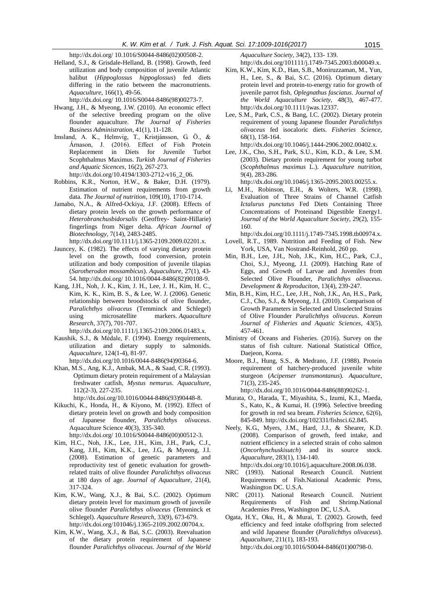http://dx.doi.org/ [10.1016/S0044-8486\(02\)00508-2.](http://dx.doi.org/10.1016/S0044-8486(02)00508-2)

Helland, S.J., & Grisdale-Helland, B. (1998). Growth, feed utilization and body composition of juvenile Atlantic halibut (*Hippoglossus hippoglossus*) fed diets differing in the ratio between the macronutrients. *Aquaculture*, 166(1), 49-56.

http://dx.doi.org/ [10.1016/S0044-8486\(98\)00273-7.](http://dx.doi.org/10.1016/S0044-8486(98)00273-7)

- Hwang, J.H., & Myeong, J.W. (2010). An economic effect of the selective breeding program on the olive flounder aquaculture. *The Journal of Fisheries Business Administration*, 41(1), 11-128.
- Imsland, A. K., Helmvig, T., Kristjánsson, G. Ö., & Árnason, J. (2016). Effect of Fish Protein Replacement in Diets for Juvenile Turbot Scophthalmus Maximus. *Turkish Journal of Fisheries and Aquatic Sicences*, 16(2), 267-273. http://dx.doi.org/10.4194/1303-2712-v16\_2\_06.
- Robbins, K.R., Norton, H.W., & Baker, D.H. (1979). Estimation of nutrient requirements from growth data. *The Journal of nutrition*, 109(10), 1710-1714.
- Jamabo, N.A., & Alfred-Ockiya, J.F. (2008). Effects of dietary protein levels on the growth performance of *Heterobranchusbidorsalis* (Geoffrey- Saint-Hillarie) fingerlings from Niger delta. *African Journal of Biotechnology*, 7(14), 2483-2485. http://dx.doi.org/10.1111/j.1365-2109.2009.02201.x.
- Jauncey, K. (1982). The effects of varying dietary protein level on the growth, food conversion, protein utilization and body composition of juvenile tilapias (*Sarotherodon mossambicus*). *Aquaculture*, 27(1), 43- 54. http://dx.doi.org/ [10.1016/0044-8486\(82\)90108-9.](http://dx.doi.org/10.1016/0044-8486(82)90108-9)
- Kang, J.H., Noh, J. K., Kim, J. H., Lee, J. H., Kim, H. C., Kim, K. K., Kim, B. S., & Lee, W. J. (2006). Genetic relationship between broodstocks of olive flounder, *Paralichthys olivaceus* (Temminck and Schlegel) using microsatellite markers. *Aquaculture Research*, 37(7), 701-707.

http://dx.doi.org/10.1111/j.1365-2109.2006.01483.x.

- Kaushik, S.J., & Médale, F. (1994). Energy requirements, utilization and dietary supply to salmonids*. Aquaculture*, 124(1-4), 81-97. http://dx.doi.or[g/10.1016/0044-8486\(94\)90364-6.](http://dx.doi.org/10.1016/0044-8486(94)90364-6)
- Khan, M.S., Ang, K.J., Ambak, M.A., & Saad, C.R. (1993). Optimum dietary protein requirement of a Malaysian freshwater catfish, *Mystus nemurus*. *Aquaculture*,
	- 112(2-3), 227-235. http://dx.doi.org[/10.1016/0044-8486\(93\)90448-8.](http://dx.doi.org/10.1016/0044-8486(93)90448-8)
- Kikuchi, K., Honda, H., & Kiyono, M. (1992). Effect of dietary protein level on growth and body composition of Japanese flounder, *Paralichthys olivaceus*. Aquaculture Science 40(3), 335-340.

http://dx.doi.org/ [10.1016/S0044-8486\(00\)00512-3.](http://dx.doi.org/10.1016/S0044-8486(00)00512-3)

- Kim, H.C., Noh, J.K., Lee, J.H., Kim, J.H., Park, C.J., Kang, J.H., Kim, K.K., Lee, J.G., & Myeong, J.I. (2008). Estimation of genetic parameters and reproductivity test of genetic evaluation for growthrelated traits of olive flounder *Paralichthys olivaceus* at 180 days of age. *Journal of Aquaculture*, 21(4), 317-324.
- Kim, K.W., Wang, X.J., & Bai, S.C. (2002). Optimum dietary protein level for maximum growth of juvenile olive flounder *Paralichthys olivaceus* (Temminck et Schlegel). *Aquaculture Research*, 33(9), 673-679. http://dx.doi.org/101046/j.1365-2109.2002.00704.x.
- Kim, K.W., Wang, X.J., & Bai, S.C. (2003). Reevaluation of the dietary protein requirement of Japanese flounder *Paralichthys olivaceus*. *Journal of the World*

*Aquaculture Society*, 34(2), 133- 139.

http://dx.doi.org/101111/j.1749-7345.2003.tb00049.x.

- Kim, K.W., Kim, K.D., Han, S.B., Moniruzzaman, M., Yun, H., Lee, S., & Bai, S.C. (2016). Optimum dietary protein level and protein-to-energy ratio for growth of juvenile parrot fish, *Oplegnathus fasciatus*. *Journal of the World Aquaculture Society*, 48(3), 467-477. http://dx.doi.org/10.1111/jwas.12337.
- Lee, S.M., Park, C.S., & Bang, I.C. (2002). Dietary protein requirement of young Japanese flounder *Paralichthys olivaceus* fed isocaloric diets. *Fisheries Science*, 68(1), 158-164.

http://dx.doi.org/10.1046/j.1444-2906.2002.00402.x.

Lee, J.K., Cho, S.H., Park, S.U., Kim, K.D., & Lee, S.M. (2003). Dietary protein requirement for young turbot (*Scophthalmus maximus* L.). *Aquaculture nutrition*, 9(4), 283-286.

http://dx.doi.org/10.1046/j.1365-2095.2003.00255.x.

Li, M.H., Robinson, E.H., & Wolters, W.R. (1998). Evaluation of Three Strains of Channel Catfish *Ictalurus punctatus* Fed Diets Containing Three Concentrations of Proteinand Digestible Energy1. *Journal of the World Aquaculture Society*, 29(2), 155- 160.

http://dx.doi.org/10.1111/j.1749-7345.1998.tb00974.x. Lovell, R.T., 1989. Nutrition and Feeding of Fish. New

- York, USA, Van Nostrand-Reinhold, 260 pp. Min, B.H., Lee, J.H., Noh, J.K., Kim, H.C., Park, C.J.,
- Choi, S.J., Myeong, J.I. (2009). Hatching Rate of Eggs, and Growth of Larvae and Juveniles from Selected Olive Flounder, *Paralichthys olivaceus*. *Development & Reproduciton*, 13(4), 239-247.
- Min, B.H., Kim, H.C., Lee, J.H., Noh, J.K., An, H.S., Park, C.J., Cho, S.J., & Myeong, J.I. (2010). Comparison of Growth Parameters in Selected and Unselected Strains of Olive Flounder *Paralichthys olivaceus*. *Korean Journal of Fisheries and Aquatic Sciences,* 43(5), 457-461.
- Ministry of Oceans and Fisheries. (2016). Survey on the status of fish culture. National Statistical Office, Daejeon, Korea.
- Moore, B.J., Hung, S.S., & Medrano, J.F. (1988). Protein requirement of hatchery-produced juvenile white sturgeon (*Acipenser transmontanus*). *Aquaculture*, 71(3), 235-245.

http://dx.doi.or[g/10.1016/0044-8486\(88\)90262-1.](http://dx.doi.org/10.1016/0044-8486(88)90262-1)

- Murata, O., Harada, T., Miyashita, S., Izumi, K.I., Maeda, S., Kato, K., & Kumai, H. (1996). Selective breeding for growth in red sea bream. *Fisheries Science*, 62(6), 845-849. http://dx.doi.org/102331/fishsci.62.845.
- Neely, K.G., Myers, J.M., Hard, J.J., & Shearer, K.D. (2008). Comparison of growth, feed intake, and nutrient efficiency in a selected strain of coho salmon (*Oncorhynchuskisutch*) and its source stock. *Aquaculture*, 283(1), 134-140.

http:/[/dx.doi.org/10.1016/j.aquaculture.2008.06.038.](http://dx.doi.org/10.1016/j.aquaculture.2008.06.038)

- NRC (1993). National Research Council. Nutrient Requirements of Fish.National Academic Press, Washington DC. U.S.A.
- NRC (2011). National Research Council. Nutrient Requirements of Fish and Shrimp.National Academies Press, Washington DC, U.S.A.
- Ogata, H.Y., Oku, H., & Murai, T. (2002). Growth, feed efficiency and feed intake ofoffspring from selected and wild Japanese flounder (*Paralichthys olivaceus*). *Aquaculture*, 211(1), 183-193.

http://dx.doi.or[g/10.1016/S0044-8486\(01\)00798-0.](http://dx.doi.org/10.1016/S0044-8486(01)00798-0)